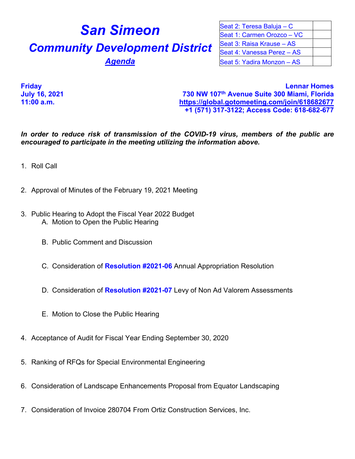## **San Simeon Community Development District Agenda**

| Seat 2: Teresa Baluja - C  |  |
|----------------------------|--|
| Seat 1: Carmen Orozco - VC |  |
| Seat 3: Raisa Krause - AS  |  |
| Seat 4: Vanessa Perez - AS |  |
| Seat 5: Yadira Monzon - AS |  |

**Friday Lennar Homes July 16, 2021 730 NW 107th Avenue Suite 300 Miami, Florida 11:00 a.m. <https://global.gotomeeting.com/join/618682677> +1 (571) 317-3122; Access Code: 618-682-677**

*In order to reduce risk of transmission of the COVID-19 virus, members of the public are encouraged to participate in the meeting utilizing the information above.*

- 1. Roll Call
- 2. Approval of Minutes of the February 19, 2021 Meeting
- 3. Public Hearing to Adopt the Fiscal Year 2022 Budget A. Motion to Open the Public Hearing
	- B. Public Comment and Discussion
	- C. Consideration of **Resolution #2021-06** Annual Appropriation Resolution
	- D. Consideration of **Resolution #2021-07** Levy of Non Ad Valorem Assessments
	- E. Motion to Close the Public Hearing
- 4. Acceptance of Audit for Fiscal Year Ending September 30, 2020
- 5. Ranking of RFQs for Special Environmental Engineering
- 6. Consideration of Landscape Enhancements Proposal from Equator Landscaping
- 7. Consideration of Invoice 280704 From Ortiz Construction Services, Inc.